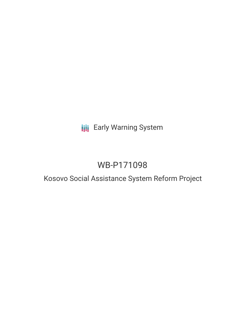# **III** Early Warning System

# WB-P171098

## Kosovo Social Assistance System Reform Project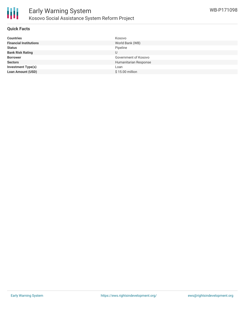

#### **Quick Facts**

| <b>Countries</b>              | Kosovo                |
|-------------------------------|-----------------------|
| <b>Financial Institutions</b> | World Bank (WB)       |
| <b>Status</b>                 | Pipeline              |
| <b>Bank Risk Rating</b>       |                       |
| <b>Borrower</b>               | Government of Kosovo  |
| <b>Sectors</b>                | Humanitarian Response |
| <b>Investment Type(s)</b>     | Loan                  |
| <b>Loan Amount (USD)</b>      | $$15.00$ million      |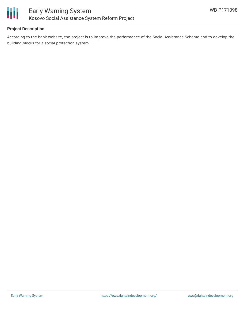

### **Project Description**

According to the bank website, the project is to improve the performance of the Social Assistance Scheme and to develop the building blocks for a social protection system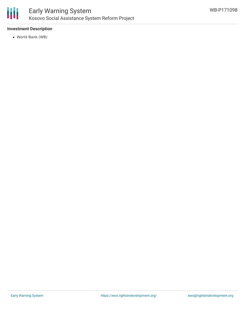

### **Investment Description**

World Bank (WB)